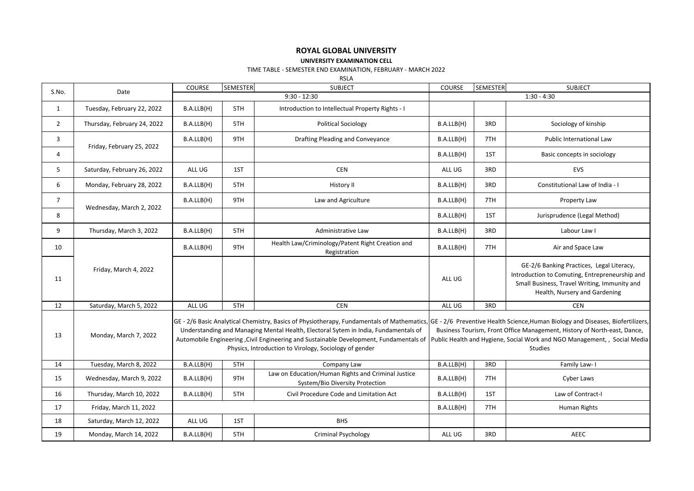# **ROYAL GLOBAL UNIVERSITY**

## **UNIVERSITY EXAMINATION CELL**

## TIME TABLE - SEMESTER END EXAMINATION, FEBRUARY - MARCH 2022

RSLA

| S.No.          | Date                        | COURSE     | SEMESTER       | <b>SUBJECT</b>                                                                                                                                                                                                                           | COURSE                                                                                                                                                                                                                                                                                                                                                | <b>SEMESTER</b> | <b>SUBJECT</b>                                                                                                                                                               |  |
|----------------|-----------------------------|------------|----------------|------------------------------------------------------------------------------------------------------------------------------------------------------------------------------------------------------------------------------------------|-------------------------------------------------------------------------------------------------------------------------------------------------------------------------------------------------------------------------------------------------------------------------------------------------------------------------------------------------------|-----------------|------------------------------------------------------------------------------------------------------------------------------------------------------------------------------|--|
|                |                             |            | $9:30 - 12:30$ | $1:30 - 4:30$                                                                                                                                                                                                                            |                                                                                                                                                                                                                                                                                                                                                       |                 |                                                                                                                                                                              |  |
| $\mathbf{1}$   | Tuesday, February 22, 2022  | B.A.LLB(H) | 5TH            | Introduction to Intellectual Property Rights - I                                                                                                                                                                                         |                                                                                                                                                                                                                                                                                                                                                       |                 |                                                                                                                                                                              |  |
| $\overline{2}$ | Thursday, February 24, 2022 | B.A.LLB(H) | 5TH            | <b>Political Sociology</b>                                                                                                                                                                                                               | B.A.LLB(H)                                                                                                                                                                                                                                                                                                                                            | 3RD             | Sociology of kinship                                                                                                                                                         |  |
| 3              | Friday, February 25, 2022   | B.A.LLB(H) | 9TH            | Drafting Pleading and Conveyance                                                                                                                                                                                                         | B.A.LLB(H)                                                                                                                                                                                                                                                                                                                                            | 7TH             | <b>Public International Law</b>                                                                                                                                              |  |
| 4              |                             |            |                |                                                                                                                                                                                                                                          | B.A.LLB(H)                                                                                                                                                                                                                                                                                                                                            | 1ST             | Basic concepts in sociology                                                                                                                                                  |  |
| 5              | Saturday, February 26, 2022 | ALL UG     | 1ST            | <b>CEN</b>                                                                                                                                                                                                                               | ALL UG                                                                                                                                                                                                                                                                                                                                                | 3RD             | <b>EVS</b>                                                                                                                                                                   |  |
| 6              | Monday, February 28, 2022   | B.A.LLB(H) | 5TH            | History II                                                                                                                                                                                                                               | B.A.LLB(H)                                                                                                                                                                                                                                                                                                                                            | 3RD             | Constitutional Law of India - I                                                                                                                                              |  |
| $\overline{7}$ | Wednesday, March 2, 2022    | B.A.LLB(H) | 9TH            | Law and Agriculture                                                                                                                                                                                                                      | B.A.LLB(H)                                                                                                                                                                                                                                                                                                                                            | 7TH             | Property Law                                                                                                                                                                 |  |
| 8              |                             |            |                |                                                                                                                                                                                                                                          | B.A.LLB(H)                                                                                                                                                                                                                                                                                                                                            | 1ST             | Jurisprudence (Legal Method)                                                                                                                                                 |  |
| 9              | Thursday, March 3, 2022     | B.A.LLB(H) | 5TH            | Administrative Law                                                                                                                                                                                                                       | B.A.LLB(H)                                                                                                                                                                                                                                                                                                                                            | 3RD             | Labour Law I                                                                                                                                                                 |  |
| 10             |                             | B.A.LLB(H) | 9TH            | Health Law/Criminology/Patent Right Creation and<br>Registration                                                                                                                                                                         | B.A.LLB(H)                                                                                                                                                                                                                                                                                                                                            | 7TH             | Air and Space Law                                                                                                                                                            |  |
| 11             | Friday, March 4, 2022       |            |                |                                                                                                                                                                                                                                          | ALL UG                                                                                                                                                                                                                                                                                                                                                |                 | GE-2/6 Banking Practices, Legal Literacy,<br>Introduction to Comuting, Entrepreneurship and<br>Small Business, Travel Writing, Immunity and<br>Health, Nursery and Gardening |  |
| 12             | Saturday, March 5, 2022     | ALL UG     | 5TH            | CEN                                                                                                                                                                                                                                      | ALL UG                                                                                                                                                                                                                                                                                                                                                | 3RD             | <b>CEN</b>                                                                                                                                                                   |  |
| 13             | Monday, March 7, 2022       |            |                | Understanding and Managing Mental Health, Electoral Sytem in India, Fundamentals of<br>Automobile Engineering , Civil Engineering and Sustainable Development, Fundamentals of<br>Physics, Introduction to Virology, Sociology of gender | GE - 2/6 Basic Analytical Chemistry, Basics of Physiotherapy, Fundamentals of Mathematics, GE - 2/6 Preventive Health Science, Human Biology and Diseases, Biofertilizers,<br>Business Tourism, Front Office Management, History of North-east, Dance,<br>Public Health and Hygiene, Social Work and NGO Management, , Social Media<br><b>Studies</b> |                 |                                                                                                                                                                              |  |
| 14             | Tuesday, March 8, 2022      | B.A.LLB(H) | 5TH            | Company Law                                                                                                                                                                                                                              | B.A.LLB(H)                                                                                                                                                                                                                                                                                                                                            | 3RD             | Family Law- I                                                                                                                                                                |  |
| 15             | Wednesday, March 9, 2022    | B.A.LLB(H) | 9TH            | Law on Education/Human Rights and Criminal Justice<br>System/Bio Diversity Protection                                                                                                                                                    | B.A.LLB(H)                                                                                                                                                                                                                                                                                                                                            | 7TH             | Cyber Laws                                                                                                                                                                   |  |
| 16             | Thursday, March 10, 2022    | B.A.LLB(H) | 5TH            | Civil Procedure Code and Limitation Act                                                                                                                                                                                                  | B.A.LLB(H)                                                                                                                                                                                                                                                                                                                                            | 1ST             | Law of Contract-I                                                                                                                                                            |  |
| 17             | Friday, March 11, 2022      |            |                |                                                                                                                                                                                                                                          | B.A.LLB(H)                                                                                                                                                                                                                                                                                                                                            | 7TH             | Human Rights                                                                                                                                                                 |  |
| 18             | Saturday, March 12, 2022    | ALL UG     | 1ST            | <b>BHS</b>                                                                                                                                                                                                                               |                                                                                                                                                                                                                                                                                                                                                       |                 |                                                                                                                                                                              |  |
| 19             | Monday, March 14, 2022      | B.A.LLB(H) | 5TH            | <b>Criminal Psychology</b>                                                                                                                                                                                                               | ALL UG                                                                                                                                                                                                                                                                                                                                                | 3RD             | AEEC                                                                                                                                                                         |  |